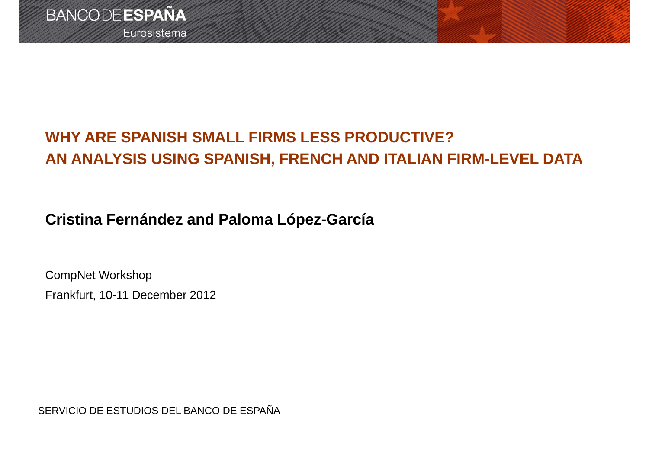## **WHY ARE SPANISH SMALL FIRMS LESS PRODUCTIVE? AN ANALYSIS USING SPANISH, FRENCH AND ITALIAN FIRM-LEVEL DATA**

### **Cristina Fernández and Paloma López-García**

CompNet Workshop Frankfurt, 10-11 December 2012

SERVICIO DE ESTUDIOS DEL BANCO DE ESPAÑA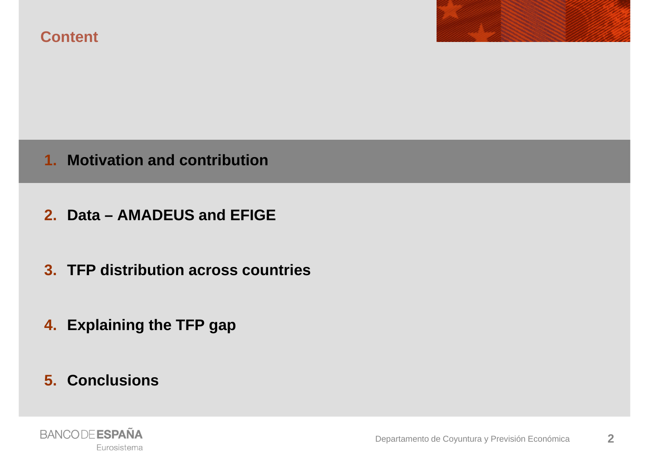



#### **1. Motivation and contribution**

- **2. Data – AMADEUS and EFIGE**
- **3. TFP distribution across countries**
- **4. Explaining the TFP gap**
- **5. Conclusions**

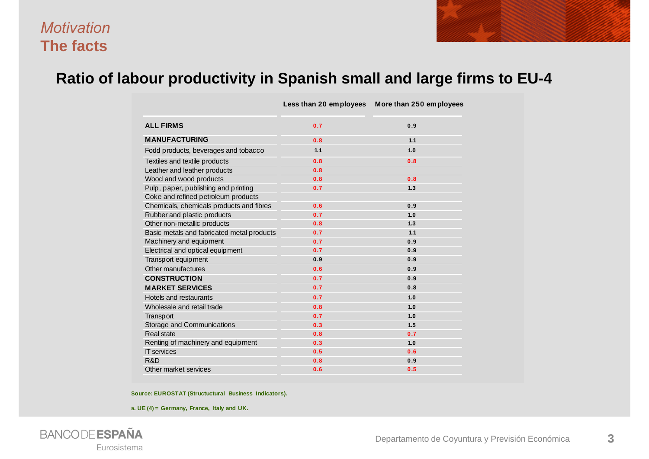#### *Motivation***The facts**



#### **Ratio of labour productivity in Spanish small and large firms to EU-4**

|                                            | Less than 20 employees | More than 250 employees |
|--------------------------------------------|------------------------|-------------------------|
| <b>ALL FIRMS</b>                           | 0.7                    | 0.9                     |
| <b>MANUFACTURING</b>                       | 0.8                    | 1.1                     |
| Fodd products, beverages and tobacco       | 1.1                    | 1.0                     |
| Textiles and textile products              | 0.8                    | 0.8                     |
| Leather and leather products               | 0.8                    |                         |
| Wood and wood products                     | 0.8                    | 0.8                     |
| Pulp, paper, publishing and printing       | 0.7                    | 1.3                     |
| Coke and refined petroleum products        |                        |                         |
| Chemicals, chemicals products and fibres   | 0.6                    | 0.9                     |
| Rubber and plastic products                | 0.7                    | 1.0                     |
| Other non-metallic products                | 0.8                    | 1.3                     |
| Basic metals and fabricated metal products | 0.7                    | 1.1                     |
| Machinery and equipment                    | 0.7                    | 0.9                     |
| Electrical and optical equipment           | 0.7                    | 0.9                     |
| Transp ort equipment                       | 0.9                    | 0.9                     |
| Other manufactures                         | 0.6                    | 0.9                     |
| <b>CONSTRUCTION</b>                        | 0.7                    | 0.9                     |
| <b>MARKET SERVICES</b>                     | 0.7                    | 0.8                     |
| Hotels and restaurants                     | 0.7                    | 1.0                     |
| Wholesale and retail trade                 | 0.8                    | 1.0                     |
| <b>Transport</b>                           | 0.7                    | 1.0                     |
| Storage and Communications                 | 0.3                    | 1.5                     |
| Real state                                 | 0.8                    | 0.7                     |
| Renting of machinery and equipment         | 0.3                    | 1.0                     |
| <b>IT</b> services                         | 0.5                    | 0.6                     |
| R&D                                        | 0.8                    | 0.9                     |
| Other market services                      | 0.6                    | 0.5                     |

**Source: EUROSTAT (Structuctural Business Indicators).**

**a. UE (4) = Germany, France, Italy and UK.**

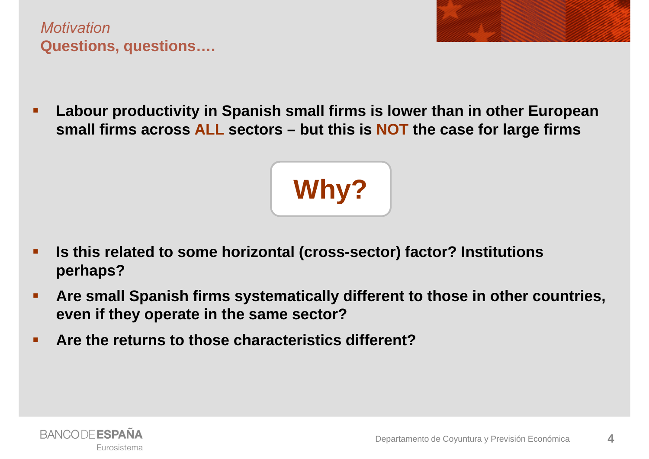*Motivation***Questions, questions….**

п **Labour productivity in Spanish small firms is lower than in other European small firms across ALL sectors – but this is NOT the case for large firms**



- $\blacksquare$  **Is this related to some horizontal (cross-sector) factor? Institutions perhaps?**
- П **Are small Spanish firms systematically different to those in other countries, even if they operate in the same sector?**
- Г **Are the returns to those characteristics different?**

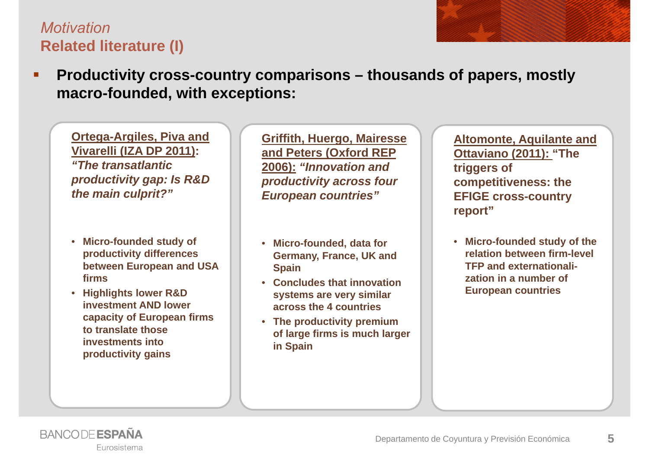#### *Motivation***Related literature (I)**

 **Productivity cross-country comparisons – thousands of papers, mostly macro-founded, with exceptions:** 

**Ortega-Argiles, Piva and Vivarelli (IZA DP 2011):**  *"The transatlantic productivity gap: Is R&D the main culprit?"*

- **Micro-founded study of productivity differences between European and USA firms**
- **Highlights lower R&D investment AND lower capacity of European firms to translate those investments into productivity gains**

**Griffith, Huergo, Mairesse and Peters (Oxford REP 2006):** *"Innovation and productivity across four European countries"*

- **Micro-founded, data for Germany, France, UK and Spain**
- **Concludes that innovation systems are very similar across the 4 countries**
- **The productivity premium of large firms is much larger in Spain**

**Altomonte, Aquilante and Ottaviano (2011): "The triggers of competitiveness: the EFIGE cross-country report"**

• **Micro-founded study of the relation between firm-level TFP and externationalization in a number of European countries**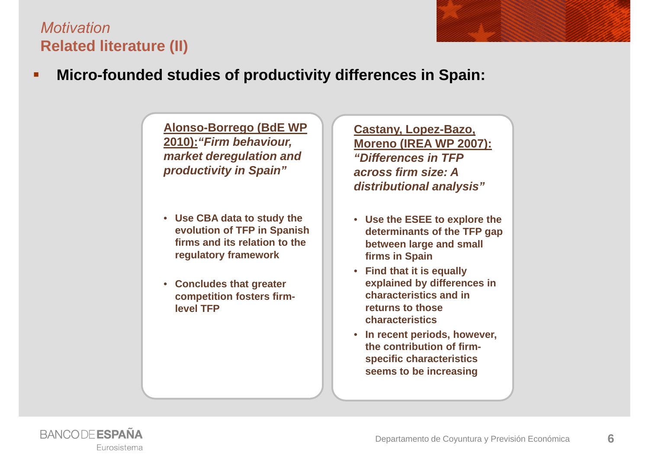



**Alonso-Borrego (BdE WP 2010):***"Firm behaviour, market deregulation and productivity in Spain"*

- **Use CBA data to study the evolution of TFP in Spanish firms and its relation to the regulatory framework**
- **Concludes that greater competition fosters firmlevel TFP**

**Castany, Lopez-Bazo, Moreno (IREA WP 2007):** *"Differences in TFP across firm size: A distributional analysis"*

- **Use the ESEE to explore the determinants of the TFP gap between large and small firms in Spain**
- **Find that it is equally explained by differences in characteristics and in returns to those characteristics**
- **In recent periods, however, the contribution of firmspecific characteristics seems to be increasing**

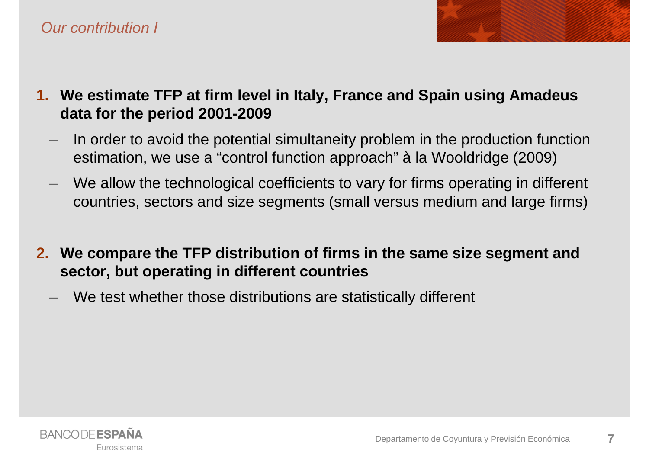

- **1. We estimate TFP at firm level in Italy, France and Spain using Amadeus data for the period 2001-2009**
	- In order to avoid the potential simultaneity problem in the production function estimation, we use a "control function approach" à la Wooldridge (2009)
	- We allow the technological coefficients to vary for firms operating in different countries, sectors and size segments (small versus medium and large firms)
- **2. We compare the TFP distribution of firms in the same size segment and sector, but operating in different countries**
	- We test whether those distributions are statistically different

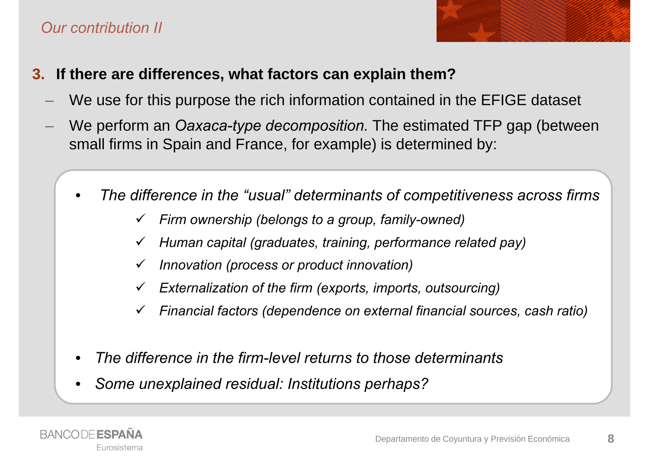#### *Our contribution II*



- **3. If there are differences, what factors can explain them?**
	- We use for this purpose the rich information contained in the EFIGE dataset
	- We perform an *Oaxaca-type decomposition.* The estimated TFP gap (between small firms in Spain and France, for example) is determined by:
		- • *The difference in the "usual" determinants of competitiveness across firms* 
			- $\checkmark$ *Firm ownership (belongs to a group, family-owned)*
			- $\checkmark$ *Human capital (graduates, training, performance related pay)*
			- $\checkmark$ *Innovation (process or product innovation)*
			- $\checkmark$ *Externalization of the firm (exports, imports, outsourcing)*
			- $\checkmark$ *Financial factors (dependence on external financial sources, cash ratio)*
		- •*The difference in the firm-level returns to those determinants*
		- •*Some unexplained residual: Institutions perhaps?*

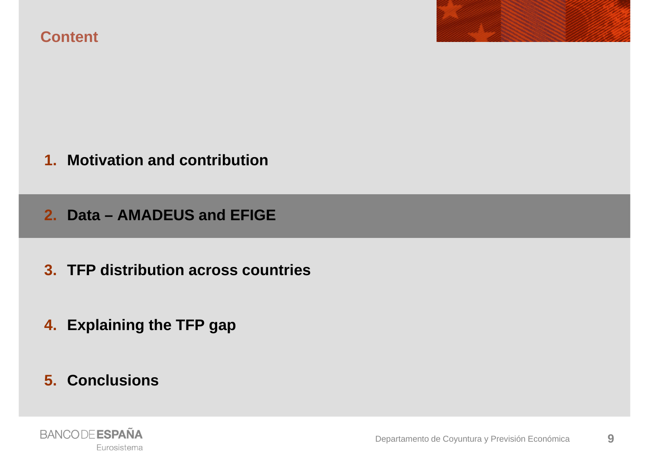**Content**



**2. Data – AMADEUS and EFIGE**

- **3. TFP distribution across countries**
- **4. Explaining the TFP gap**
- **5. Conclusions**

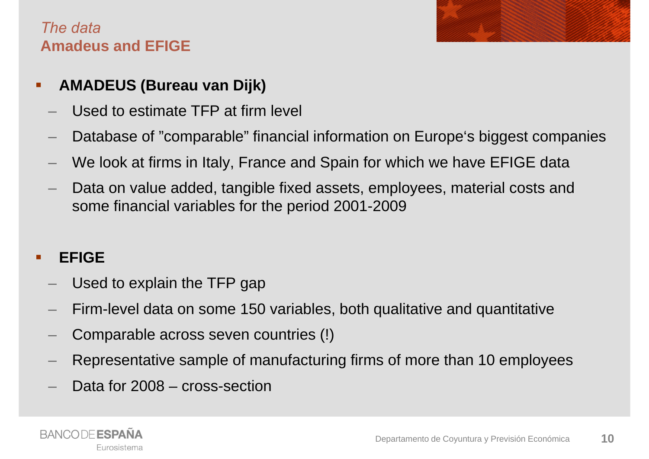#### *The data***Amadeus and EFIGE**

#### П **AMADEUS (Bureau van Dijk)**

- Used to estimate TFP at firm level
- Database of "comparable" financial information on Europe's biggest companies
- We look at firms in Italy, France and Spain for which we have EFIGE data
- Data on value added, tangible fixed assets, employees, material costs and some financial variables for the period 2001-2009

#### $\blacksquare$ **EFIGE**

- Used to explain the TFP gap
- Firm-level data on some 150 variables, both qualitative and quantitative
- Comparable across seven countries (!)
- Representative sample of manufacturing firms of more than 10 employees
- Data for 2008 cross-section

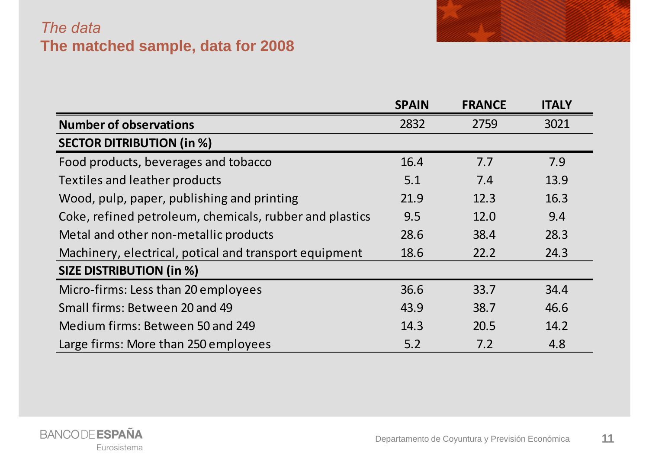### *The data* **The matched sample, data for 2008**

|                                                         | <b>SPAIN</b> | <b>FRANCE</b> | <b>ITALY</b> |
|---------------------------------------------------------|--------------|---------------|--------------|
| <b>Number of observations</b>                           | 2832         | 2759          | 3021         |
| <b>SECTOR DITRIBUTION (in %)</b>                        |              |               |              |
| Food products, beverages and tobacco                    | 16.4         | 7.7           | 7.9          |
| Textiles and leather products                           | 5.1          | 7.4           | 13.9         |
| Wood, pulp, paper, publishing and printing              | 21.9         | 12.3          | 16.3         |
| Coke, refined petroleum, chemicals, rubber and plastics | 9.5          | 12.0          | 9.4          |
| Metal and other non-metallic products                   | 28.6         | 38.4          | 28.3         |
| Machinery, electrical, potical and transport equipment  | 18.6         | 22.2          | 24.3         |
| <b>SIZE DISTRIBUTION (in %)</b>                         |              |               |              |
| Micro-firms: Less than 20 employees                     | 36.6         | 33.7          | 34.4         |
| Small firms: Between 20 and 49                          | 43.9         | 38.7          | 46.6         |
| Medium firms: Between 50 and 249                        | 14.3         | 20.5          | 14.2         |
| Large firms: More than 250 employees                    | 5.2          | 7.2           | 4.8          |

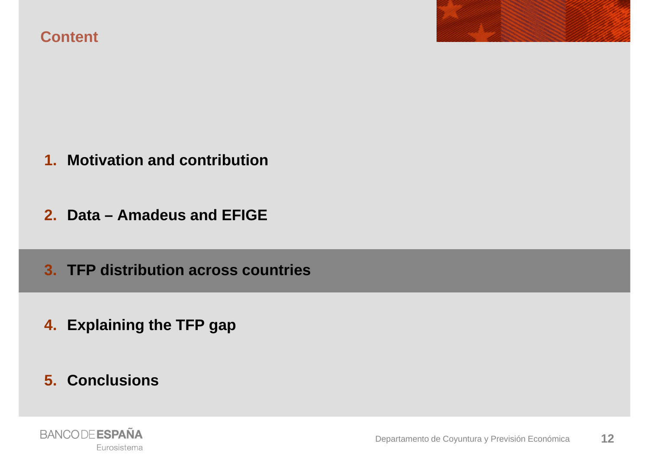



- **1. Motivation and contribution**
- **2. Data – Amadeus and EFIGE**
- **3. TFP distribution across countries**
- **4. Explaining the TFP gap**
- **5. Conclusions**

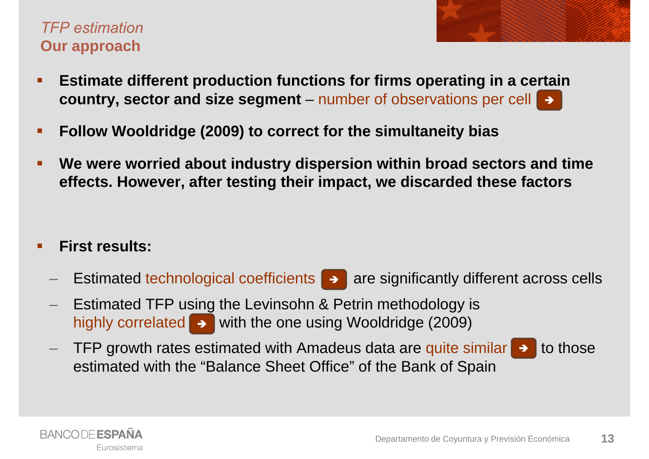#### *TFP estimation***Our approach**

- $\blacksquare$  **Estimate different production functions for firms operating in a certain country, sector and size segment** – number of observations per cell
- $\blacksquare$ **Follow Wooldridge (2009) to correct for the simultaneity bias**
- $\blacksquare$  **We were worried about industry dispersion within broad sectors and time effects. However, after testing their impact, we discarded these factors**

#### $\blacksquare$ **First results:**

- Estimated technological coefficients  $\blacktriangleright$  are significantly different across cells
- Estimated TFP using the Levinsohn & Petrin methodology is highly correlated  $\rightarrow$  with the one using Wooldridge (2009)
- $-$  TFP growth rates estimated with Amadeus data are quite similar  $\rightarrow$  to those estimated with the "Balance Sheet Office" of the Bank of Spain

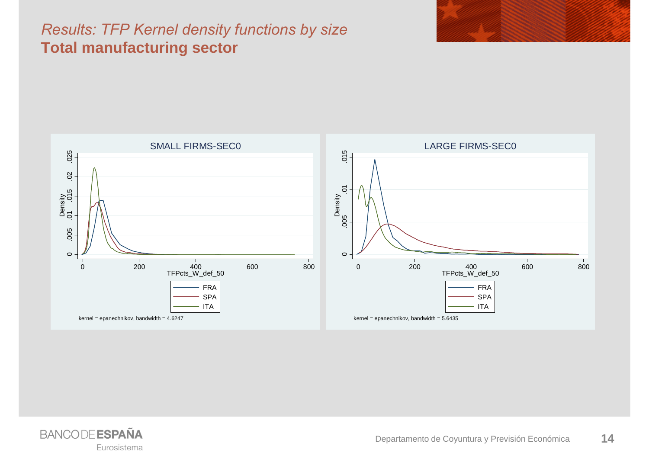#### *Results: TFP Kernel density functions by size*  **Total manufacturing sector**



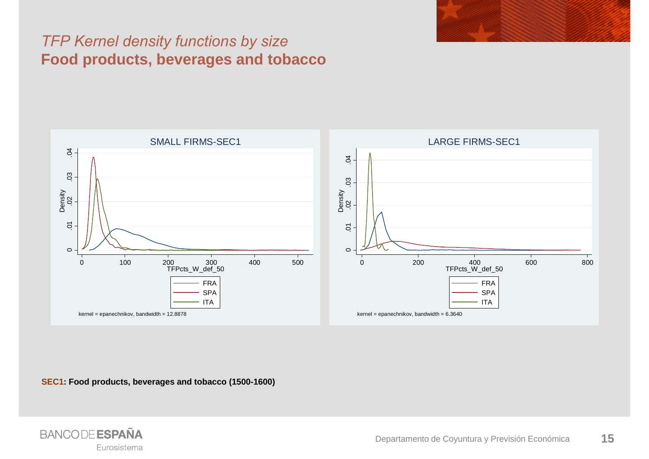#### *TFP Kernel density functions by size*  **Food products, beverages and tobacco**



**SEC1: Food products, beverages and tobacco (1500-1600)**

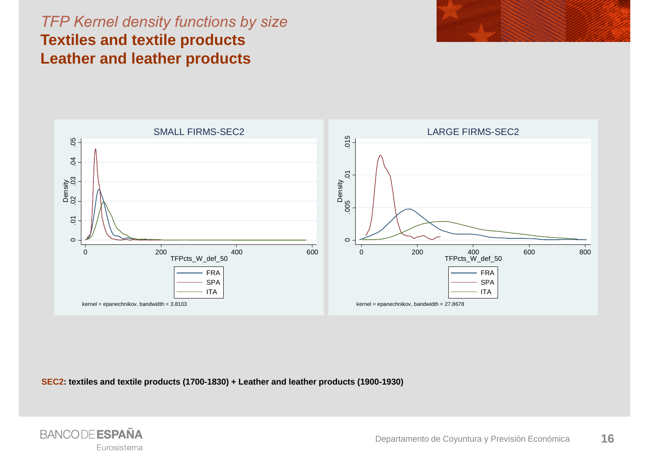#### *TFP Kernel density functions by size*  **Textiles and textile products Leather and leather products**





**SEC2: textiles and textile products (1700-1830) + Leather and leather products (1900-1930)**

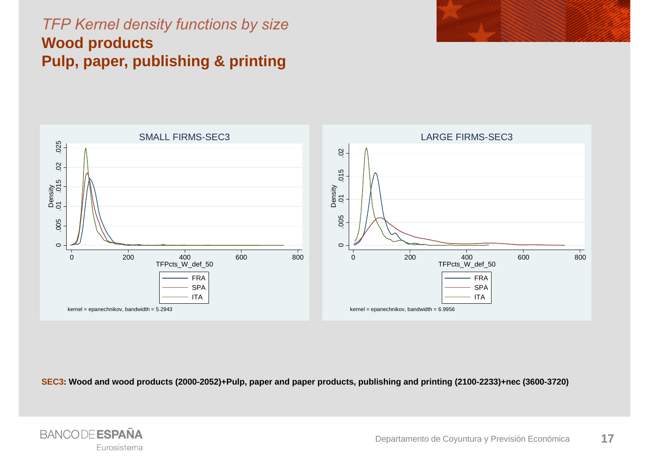### *TFP Kernel density functions by size*  **Wood products Pulp, paper, publishing & printing**





**SEC3: Wood and wood products (2000-2052)+Pulp, paper and paper products, publishing and printing (2100-2233)+nec (3600-3720)**

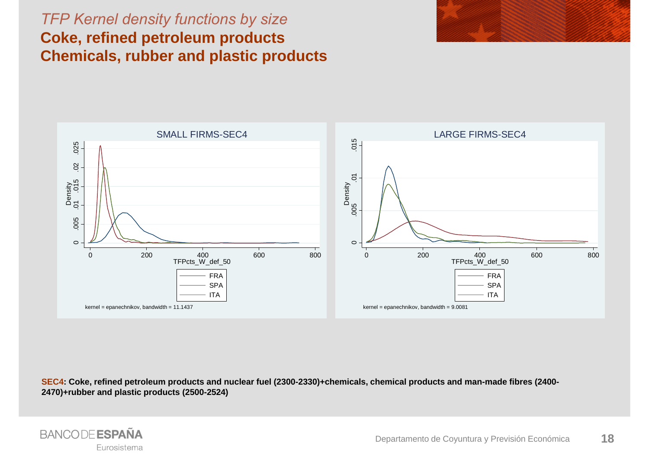#### *TFP Kernel density functions by size*  **Coke, refined petroleum products Chemicals, rubber and plastic products**





**SEC4: Coke, refined petroleum products and nuclear fuel (2300-2330)+chemicals, chemical products and man-made fibres (2400- 2470)+rubber and plastic products (2500-2524)**

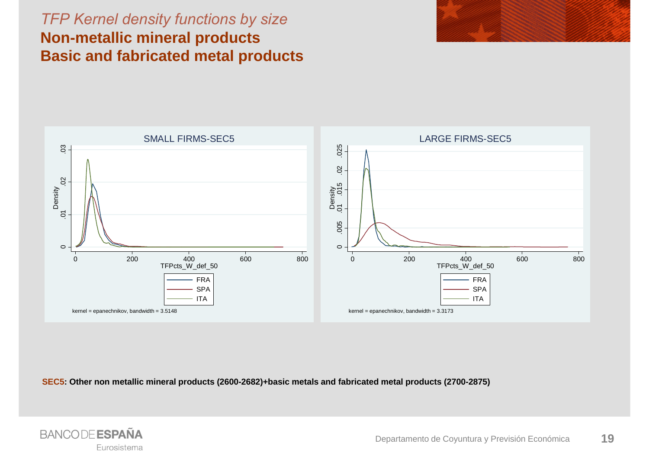#### *TFP Kernel density functions by size*  **Non-metallic mineral products Basic and fabricated metal products**





**SEC5: Other non metallic mineral products (2600-2682)+basic metals and fabricated metal products (2700-2875)**

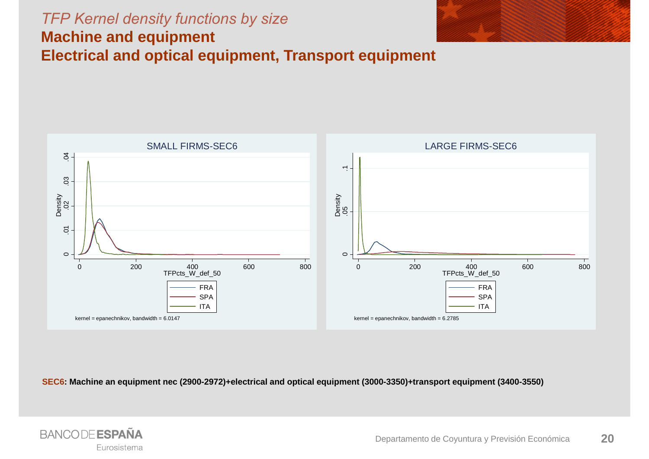#### *TFP Kernel density functions by size*  **Machine and equipment**



**Electrical and optical equipment, Transport equipment**



**SEC6: Machine an equipment nec (2900-2972)+electrical and optical equipment (3000-3350)+transport equipment (3400-3550)**

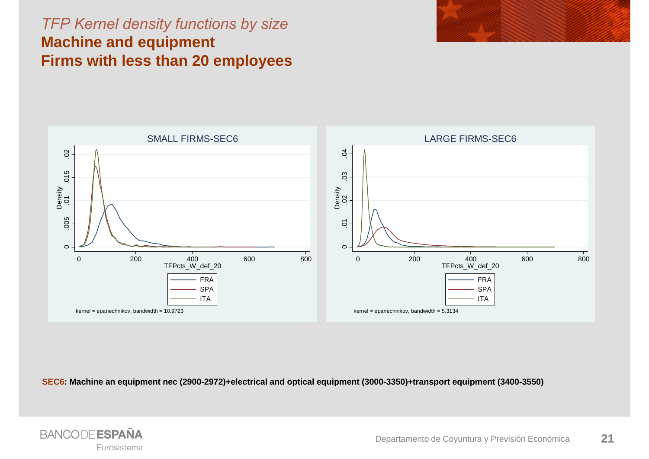#### *TFP Kernel density functions by size*  **Machine and equipment Firms with less than 20 employees**





**SEC6: Machine an equipment nec (2900-2972)+electrical and optical equipment (3000-3350)+transport equipment (3400-3550)**

![](_page_20_Picture_4.jpeg)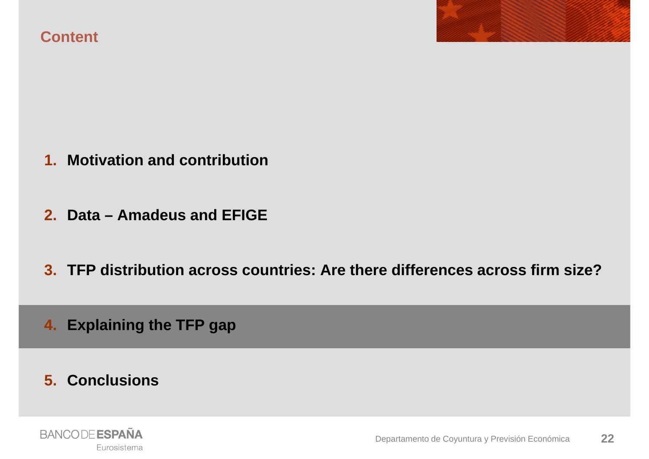**Content**

- **1. Motivation and contribution**
- **2. Data – Amadeus and EFIGE**
- **3. TFP distribution across countries: Are there differences across firm size?**
- **4. Explaining the TFP gap**
- **5. Conclusions**

![](_page_21_Picture_6.jpeg)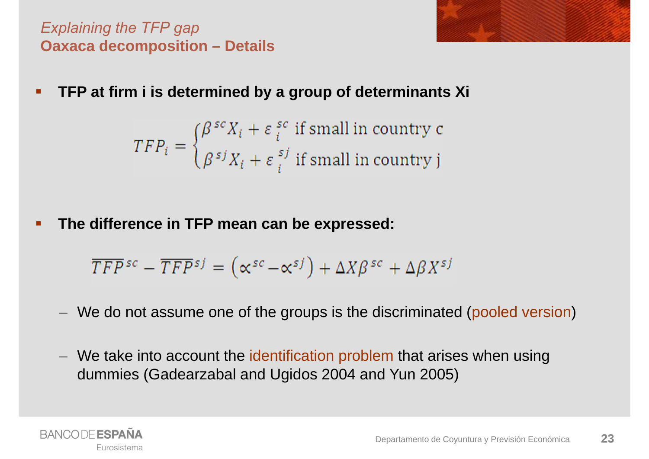*Explaining the TFP gap* **Oaxaca decomposition – Details** 

- 
- $\blacksquare$ **TFP at firm i is determined by a group of determinants Xi**

 $TFP_i = \begin{cases} \beta^{sc}X_i + \varepsilon_i^{sc} \text{ if small in country c} \\ \beta^{sj}X_i + \varepsilon_i^{sj} \text{ if small in country j} \end{cases}$ 

 $\blacksquare$ **The difference in TFP mean can be expressed:**

$$
\overline{TFP}^{sc} - \overline{TFP}^{sj} = (\alpha^{sc} - \alpha^{sj}) + \Delta X\beta^{sc} + \Delta \beta X^{sj}
$$

- We do not assume one of the groups is the discriminated (pooled version)
- $-$  We take into account the identification problem that arises when using dummies (Gadearzabal and Ugidos 2004 and Yun 2005)

![](_page_22_Picture_8.jpeg)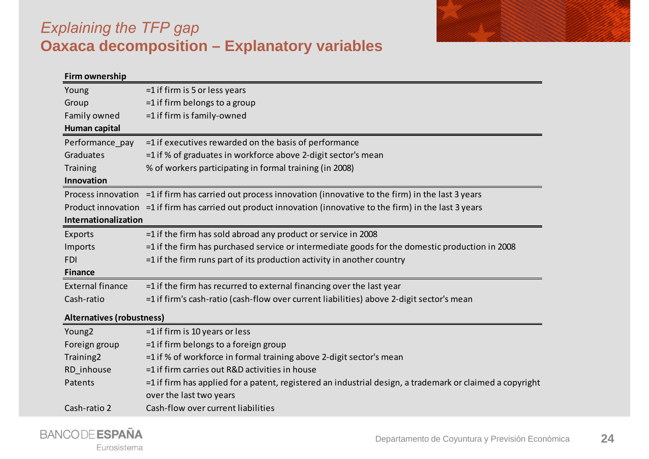![](_page_23_Picture_0.jpeg)

### *Explaining the TFP gap* **Oaxaca decomposition – Explanatory variables**

| Firm ownership                   |                                                                                                                                        |
|----------------------------------|----------------------------------------------------------------------------------------------------------------------------------------|
| Young                            | $=1$ if firm is 5 or less years                                                                                                        |
| Group                            | $=$ 1 if firm belongs to a group                                                                                                       |
| Family owned                     | =1 if firm is family-owned                                                                                                             |
| Human capital                    |                                                                                                                                        |
| Performance pay                  | $=$ 1 if executives rewarded on the basis of performance                                                                               |
| Graduates                        | =1 if % of graduates in workforce above 2-digit sector's mean                                                                          |
| Training                         | % of workers participating in formal training (in 2008)                                                                                |
| Innovation                       |                                                                                                                                        |
|                                  | Process innovation =1 if firm has carried out process innovation (innovative to the firm) in the last 3 years                          |
|                                  | Product innovation =1 if firm has carried out product innovation (innovative to the firm) in the last 3 years                          |
| Internationalization             |                                                                                                                                        |
| Exports                          | $=$ 1 if the firm has sold abroad any product or service in 2008                                                                       |
| Imports                          | $=$ 1 if the firm has purchased service or intermediate goods for the domestic production in 2008                                      |
| <b>FDI</b>                       | $=$ 1 if the firm runs part of its production activity in another country                                                              |
| <b>Finance</b>                   |                                                                                                                                        |
| <b>External finance</b>          | $=$ 1 if the firm has recurred to external financing over the last year                                                                |
| Cash-ratio                       | =1 if firm's cash-ratio (cash-flow over current liabilities) above 2-digit sector's mean                                               |
| <b>Alternatives (robustness)</b> |                                                                                                                                        |
| Young <sub>2</sub>               | =1 if firm is 10 years or less                                                                                                         |
| Foreign group                    | $=$ 1 if firm belongs to a foreign group                                                                                               |
| Training2                        | =1 if % of workforce in formal training above 2-digit sector's mean                                                                    |
| RD inhouse                       | =1 if firm carries out R&D activities in house                                                                                         |
| Patents                          | $=$ 1 if firm has applied for a patent, registered an industrial design, a trademark or claimed a copyright<br>over the last two years |
| Cash-ratio 2                     | Cash-flow over current liabilities                                                                                                     |
|                                  |                                                                                                                                        |

![](_page_23_Picture_3.jpeg)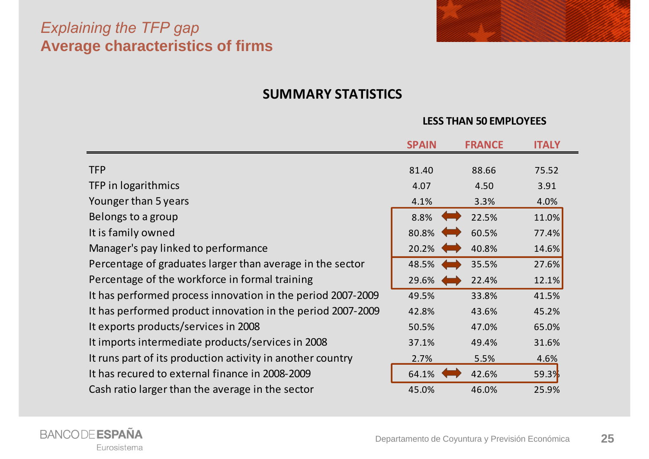#### *Explaining the TFP gap* **Average characteristics of firms**

![](_page_24_Picture_1.jpeg)

#### **SUMMARY STATISTICS**

#### **LESS THAN 50 EMPLOYEES**

|                                                             | <b>SPAIN</b> | <b>FRANCE</b>          | <b>ITALY</b> |
|-------------------------------------------------------------|--------------|------------------------|--------------|
| <b>TFP</b>                                                  | 81.40        | 88.66                  | 75.52        |
| TFP in logarithmics                                         | 4.07         | 4.50                   | 3.91         |
| Younger than 5 years                                        | 4.1%         | 3.3%                   | 4.0%         |
| Belongs to a group                                          | 8.8%         | <b>Common</b><br>22.5% | 11.0%        |
| It is family owned                                          | 80.8%        | 60.5%                  | 77.4%        |
| Manager's pay linked to performance                         | 20.2%        | 40.8%                  | 14.6%        |
| Percentage of graduates larger than average in the sector   | 48.5%        | 35.5%                  | 27.6%        |
| Percentage of the workforce in formal training              | 29.6%        | 22.4%                  | 12.1%        |
| It has performed process innovation in the period 2007-2009 | 49.5%        | 33.8%                  | 41.5%        |
| It has performed product innovation in the period 2007-2009 | 42.8%        | 43.6%                  | 45.2%        |
| It exports products/services in 2008                        | 50.5%        | 47.0%                  | 65.0%        |
| It imports intermediate products/services in 2008           | 37.1%        | 49.4%                  | 31.6%        |
| It runs part of its production activity in another country  | 2.7%         | 5.5%                   | 4.6%         |
| It has recured to external finance in 2008-2009             | 64.1%        | 42.6%                  | 59.3%        |
| Cash ratio larger than the average in the sector            | 45.0%        | 46.0%                  | 25.9%        |

![](_page_24_Picture_5.jpeg)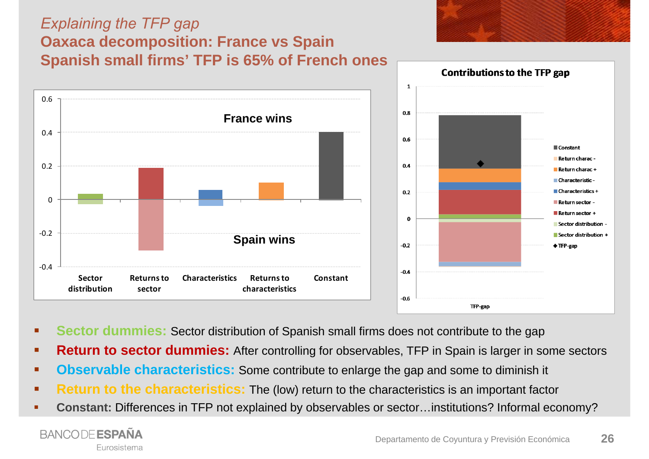### *Explaining the TFP gap* **Oaxaca decomposition: France vs Spain Spanish small firms' TFP is 65% of French ones**

![](_page_25_Figure_1.jpeg)

- **Sector dummies:** Sector distribution of Spanish small firms does not contribute to the gap
- п **Return to sector dummies:** After controlling for observables, TFP in Spain is larger in some sectors
- ٠ **Observable characteristics:** Some contribute to enlarge the gap and some to diminish it
- $\blacksquare$ **Return to the characteristics:** The (low) return to the characteristics is an important factor
- ٠ **Constant:** Differences in TFP not explained by observables or sector…institutions? Informal economy?

![](_page_25_Picture_7.jpeg)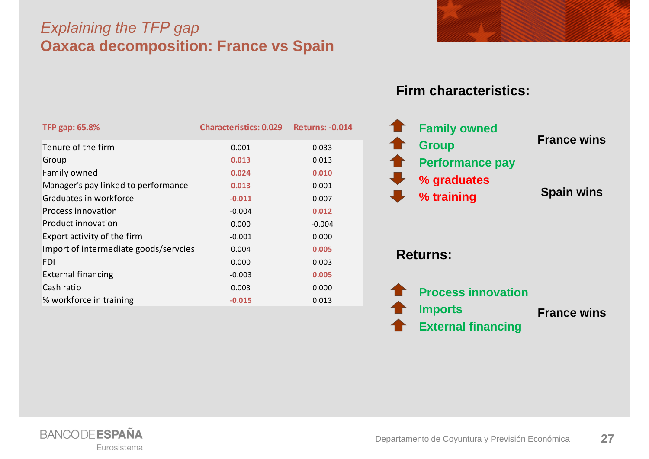#### *Explaining the TFP gap* **Oaxaca decomposition: France vs Spain**

![](_page_26_Picture_1.jpeg)

#### **Firm characteristics:**

![](_page_26_Figure_3.jpeg)

![](_page_26_Picture_4.jpeg)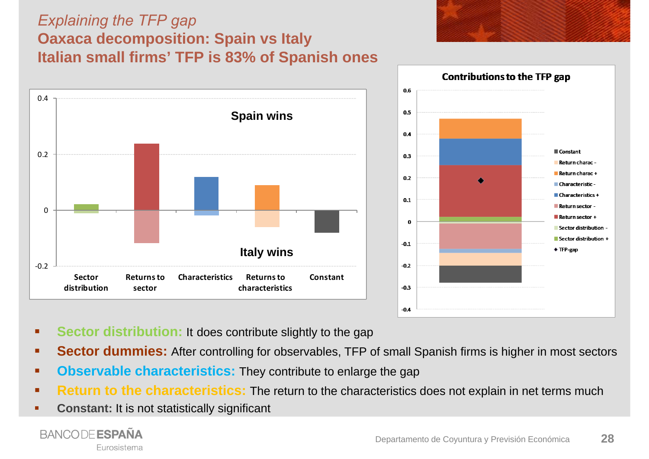#### *Explaining the TFP gap* **Oaxaca decomposition: Spain vs Italy Italian small firms' TFP is 83% of Spanish ones**

![](_page_27_Figure_1.jpeg)

![](_page_27_Figure_2.jpeg)

- п **Sector distribution:** It does contribute slightly to the gap
- п **Sector dummies:** After controlling for observables, TFP of small Spanish firms is higher in most sectors
- п **Observable characteristics:** They contribute to enlarge the gap
- ٠ **Return to the characteristics:** The return to the characteristics does not explain in net terms much
- п **Constant:** It is not statistically significant

![](_page_27_Picture_8.jpeg)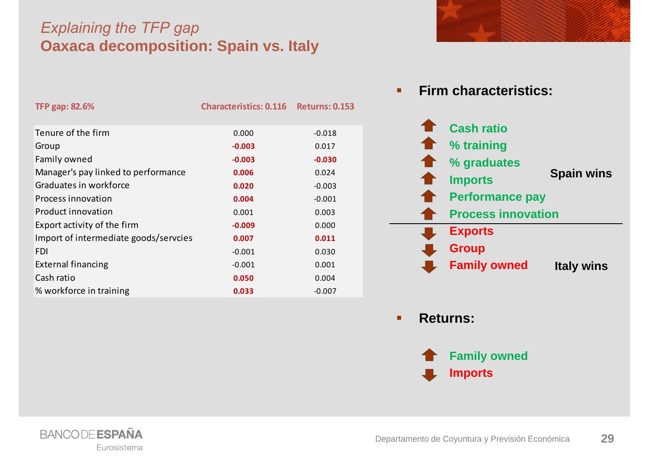#### *Explaining the TFP gap* **Oaxaca decomposition: Spain vs. Italy**

| <b>TFP gap: 82.6%</b>                 | <b>Characteristics: 0.116</b> | <b>Returns: 0.153</b> |
|---------------------------------------|-------------------------------|-----------------------|
| Tenure of the firm                    | 0.000                         | $-0.018$              |
| Group                                 | $-0.003$                      | 0.017                 |
| Family owned                          | $-0.003$                      | $-0.030$              |
| Manager's pay linked to performance   | 0.006                         | 0.024                 |
| Graduates in workforce                | 0.020                         | $-0.003$              |
| Process innovation                    | 0.004                         | $-0.001$              |
| Product innovation                    | 0.001                         | 0.003                 |
| Export activity of the firm           | $-0.009$                      | 0.000                 |
| Import of intermediate goods/servcies | 0.007                         | 0.011                 |
| <b>FDI</b>                            | $-0.001$                      | 0.030                 |
| <b>External financing</b>             | $-0.001$                      | 0.001                 |
| Cash ratio                            | 0.050                         | 0.004                 |
| % workforce in training               | 0.033                         | $-0.007$              |

![](_page_28_Picture_2.jpeg)

![](_page_28_Figure_3.jpeg)

٠ **Returns:**

![](_page_28_Picture_5.jpeg)

![](_page_28_Picture_6.jpeg)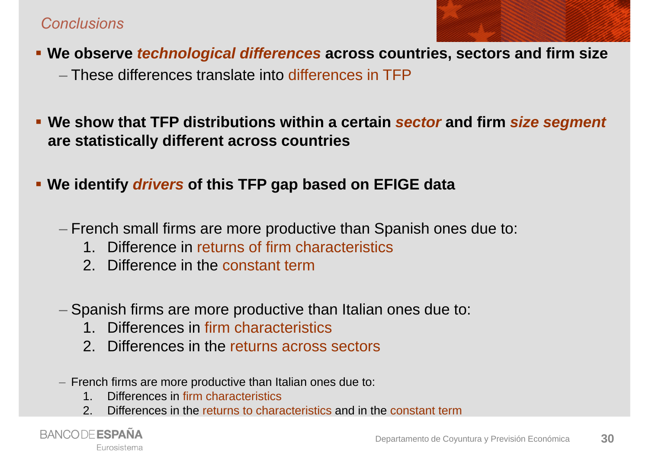#### *Conclusions*

![](_page_29_Picture_1.jpeg)

**We observe** *technological differences* **across countries, sectors and firm size**

– These differences translate into differences in TFP

- **We show that TFP distributions within a certain** *sector* **and firm** *size segment*  **are statistically different across countries**
- **We identify** *drivers* **of this TFP gap based on EFIGE data**
	- French small firms are more productive than Spanish ones due to:
		- 1. Difference in returns of firm characteristics
		- 2. Difference in the constant term
	- $-$  Spanish firms are more productive than Italian ones due to:
		- 1. Differences in firm characteristics
		- 2. Differences in the returns across sectors
	- French firms are more productive than Italian ones due to:
		- 1. Differences in firm characteristics
		- 2. Differences in the returns to characteristics and in the constant term

**BANCODE ESPAÑA** Eurosistema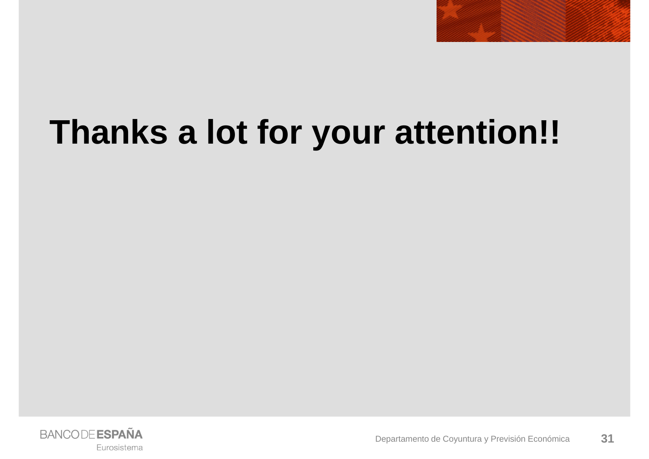![](_page_30_Picture_0.jpeg)

# **Thanks a lot for your attention!!**

![](_page_30_Picture_2.jpeg)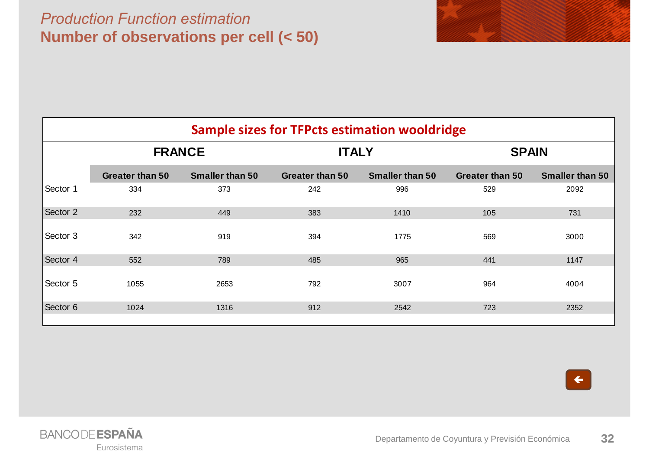#### *Production Function estimation***Number of observations per cell (< 50)**

|          | <b>FRANCE</b>          |                        | <b>ITALY</b>           | <b>Sample sizes for TFPcts estimation wooldridge</b> | <b>SPAIN</b>           |                        |
|----------|------------------------|------------------------|------------------------|------------------------------------------------------|------------------------|------------------------|
|          | <b>Greater than 50</b> | <b>Smaller than 50</b> | <b>Greater than 50</b> | <b>Smaller than 50</b>                               | <b>Greater than 50</b> | <b>Smaller than 50</b> |
| Sector 1 | 334                    | 373                    | 242                    | 996                                                  | 529                    | 2092                   |
| Sector 2 | 232                    | 449                    | 383                    | 1410                                                 | 105                    | 731                    |
| Sector 3 | 342                    | 919                    | 394                    | 1775                                                 | 569                    | 3000                   |
| Sector 4 | 552                    | 789                    | 485                    | 965                                                  | 441                    | 1147                   |
| Sector 5 | 1055                   | 2653                   | 792                    | 3007                                                 | 964                    | 4004                   |
| Sector 6 | 1024                   | 1316                   | 912                    | 2542                                                 | 723                    | 2352                   |
|          |                        |                        |                        |                                                      |                        |                        |

![](_page_31_Picture_2.jpeg)

![](_page_31_Picture_3.jpeg)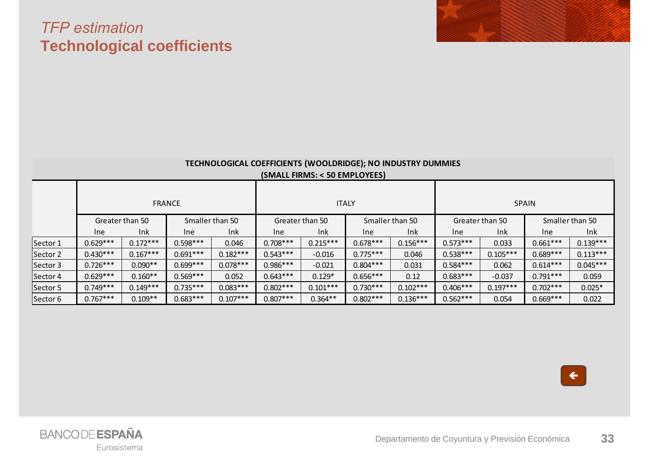#### *TFP estimation* **Technological coefficients**

| TECHNOLOGICAL COEFFICIENTS (WOOLDRIDGE); NO INDUSTRY DUMMIES |  |
|--------------------------------------------------------------|--|
| (SMALL FIRMS: < 50 EMPLOYEES)                                |  |

|          |            |                 | <b>FRANCE</b> |                 | <b>ITALY</b> |                 | <b>SPAIN</b> |                 |            |                 |            |                 |
|----------|------------|-----------------|---------------|-----------------|--------------|-----------------|--------------|-----------------|------------|-----------------|------------|-----------------|
|          |            | Greater than 50 |               | Smaller than 50 |              | Greater than 50 |              | Smaller than 50 |            | Greater than 50 |            | Smaller than 50 |
|          | <b>Ine</b> | Ink             | <b>Ine</b>    | Ink             | <b>Ine</b>   | Ink             | Ine          | Ink             | <b>Ine</b> | Ink             | <b>Ine</b> | Ink             |
| Sector 1 | $0.629***$ | $0.172***$      | $0.598***$    | 0.046           | $0.708***$   | $0.215***$      | $0.678***$   | $0.156***$      | $0.573***$ | 0.033           | $0.661***$ | $0.139***$      |
| Sector 2 | $0.430***$ | $0.167***$      | $0.691***$    | $0.182***$      | $0.543***$   | $-0.016$        | $0.775***$   | 0.046           | $0.538***$ | $0.105***$      | $0.689***$ | $0.113***$      |
| Sector 3 | $0.726***$ | $0.090**$       | $0.699***$    | $0.078***$      | $0.986***$   | $-0.021$        | $0.804***$   | 0.031           | $0.584***$ | 0.062           | $0.614***$ | $0.045***$      |
| Sector 4 | $0.629***$ | $0.160**$       | $0.569***$    | 0.052           | $0.643***$   | $0.129*$        | $0.656***$   | 0.12            | $0.683***$ | $-0.037$        | $0.791***$ | 0.059           |
| Sector 5 | $0.749***$ | $0.149***$      | $0.735***$    | $0.083***$      | $0.802***$   | $0.101***$      | $0.730***$   | $0.102***$      | $0.406***$ | $0.197***$      | $0.702***$ | $0.025*$        |
| Sector 6 | $0.767***$ | $0.109**$       | $0.683***$    | $0.107***$      | $0.807***$   | $0.364**$       | $0.802***$   | $0.136***$      | $0.562***$ | 0.054           | $0.669***$ | 0.022           |

 $\left| \right|$ 

![](_page_32_Picture_4.jpeg)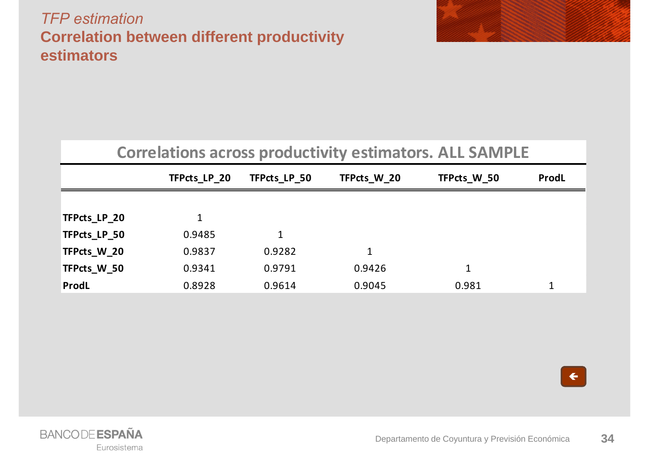#### *TFP estimation***Correlation between different productivity estimators**

![](_page_33_Picture_1.jpeg)

| <b>Correlations across productivity estimators. ALL SAMPLE</b> |  |  |  |
|----------------------------------------------------------------|--|--|--|
|----------------------------------------------------------------|--|--|--|

|              | TFPcts LP 20 | TFPcts_LP_50 | TFPcts W 20 | TFPcts W 50 | ProdL |
|--------------|--------------|--------------|-------------|-------------|-------|
|              |              |              |             |             |       |
| TFPcts_LP_20 | 1            |              |             |             |       |
| TFPcts_LP_50 | 0.9485       |              |             |             |       |
| TFPcts_W_20  | 0.9837       | 0.9282       |             |             |       |
| TFPcts W 50  | 0.9341       | 0.9791       | 0.9426      | 1           |       |
| ProdL        | 0.8928       | 0.9614       | 0.9045      | 0.981       | 1     |

![](_page_33_Picture_4.jpeg)

![](_page_33_Picture_5.jpeg)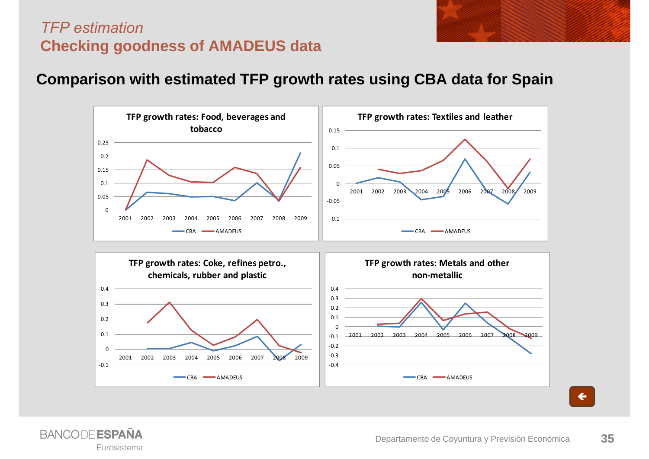![](_page_34_Picture_0.jpeg)

#### *TFP estimation***Checking goodness of AMADEUS data**

#### **Comparison with estimated TFP growth rates using CBA data for Spain**

![](_page_34_Figure_3.jpeg)

![](_page_34_Picture_4.jpeg)

 $\leftarrow$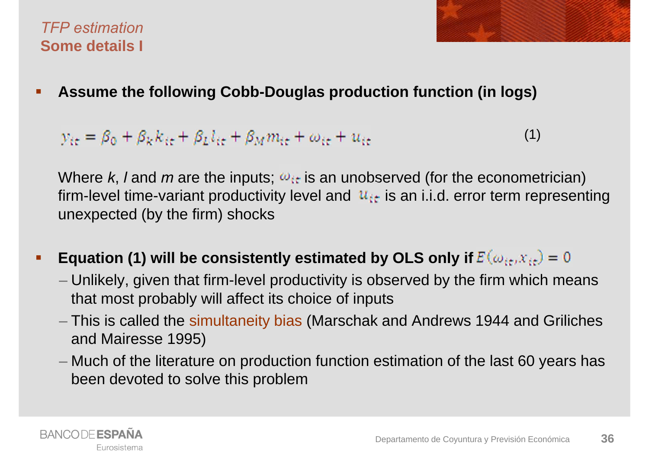#### *TFP estimation***Some details I**

![](_page_35_Picture_1.jpeg)

 $\blacksquare$ **Assume the following Cobb-Douglas production function (in logs)**

 $y_{it} = \beta_0 + \beta_k k_{it} + \beta_k l_{it} + \beta_M m_{it} + \omega_{it} + u_{it}$ (1)

Where *k*, *l* and *m* are the inputs;  $\omega_{it}$  is an unobserved (for the econometrician) firm-level time-variant productivity level and  $u_{it}$  is an i.i.d. error term representing unexpected (by the firm) shocks

- $\blacksquare$ **Equation (1) will be consistently estimated by OLS only if**  $E(\omega_{it},x_{it})=0$ 
	- Unlikely, given that firm-level productivity is observed by the firm which means that most probably will affect its choice of inputs
	- This is called the simultaneity bias (Marschak and Andrews 1944 and Griliches and Mairesse 1995)
	- Much of the literature on production function estimation of the last 60 years has been devoted to solve this problem

![](_page_35_Picture_9.jpeg)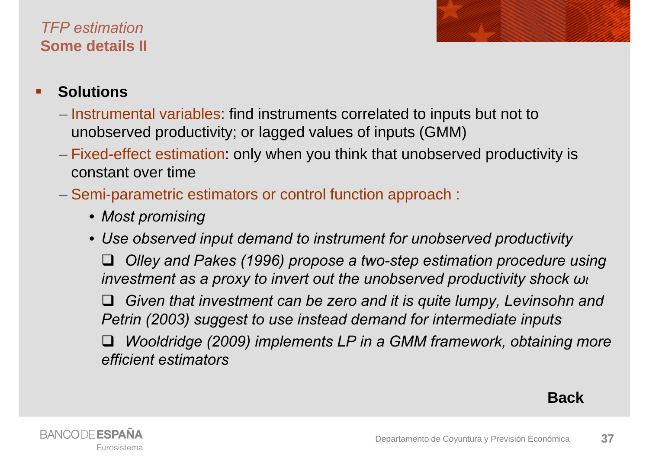### *TFP estimation***Some details II**

![](_page_36_Picture_1.jpeg)

#### $\blacksquare$ **Solutions**

- $-$  Instrumental variables: find instruments correlated to inputs but not to unobserved productivity; or lagged values of inputs (GMM)
- Fixed-effect estimation: only when you think that unobserved productivity is constant over time
- Semi-parametric estimators or control function approach :
	- *Most promising*
	- *Use observed input demand to instrument for unobserved productivity Olley and Pakes (1996) propose a two-step estimation procedure using investment as a proxy to invert out the unobserved productivity shock ω<sup>t</sup> Given that investment can be zero and it is quite lumpy, Levinsohn and Petrin (2003) suggest to use instead demand for intermediate inputs*  $\Box$  *Wooldridge (2009) implements LP in a GMM framework, obtaining more efficient estimators*

**Back**

![](_page_36_Picture_9.jpeg)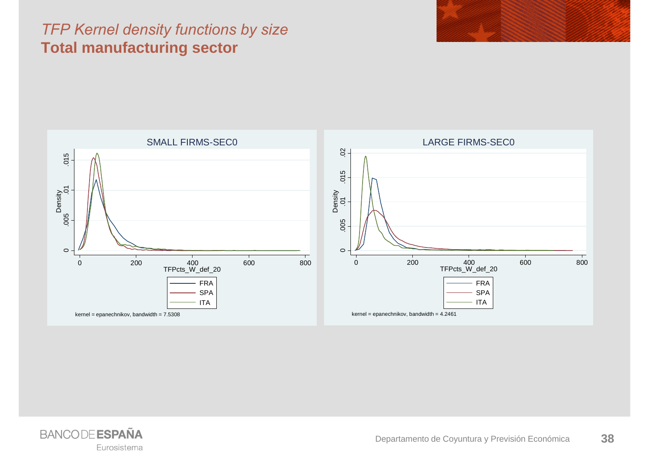#### *TFP Kernel density functions by size*  **Total manufacturing sector**

![](_page_37_Figure_1.jpeg)

![](_page_37_Picture_2.jpeg)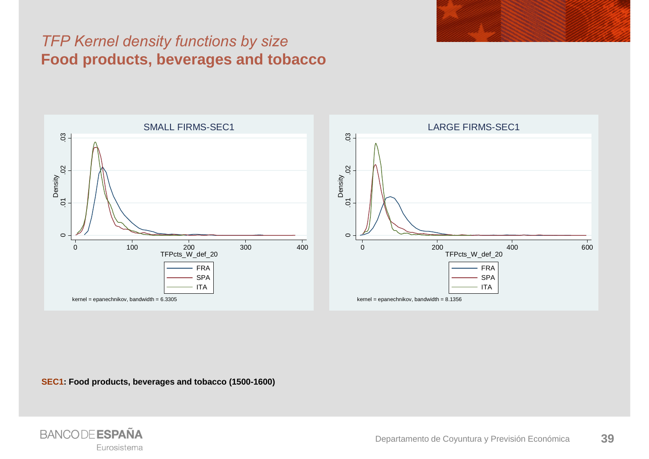#### *TFP Kernel density functions by size*  **Food products, beverages and tobacco**

![](_page_38_Figure_1.jpeg)

**SEC1: Food products, beverages and tobacco (1500-1600)**

![](_page_38_Picture_3.jpeg)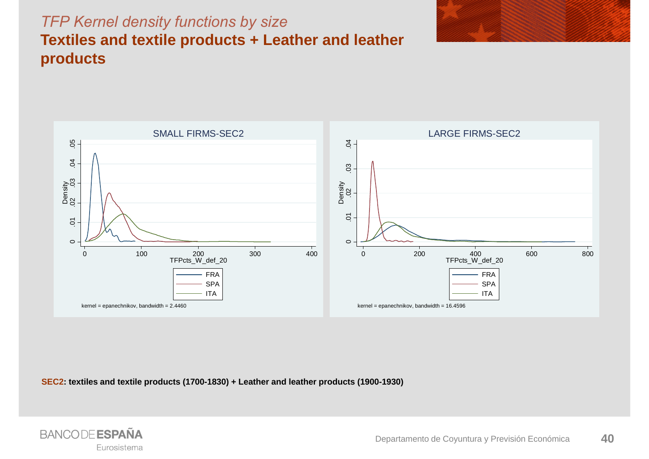### *TFP Kernel density functions by size*  **Textiles and textile products + Leather and leather products**

![](_page_39_Figure_1.jpeg)

![](_page_39_Figure_2.jpeg)

**SEC2: textiles and textile products (1700-1830) + Leather and leather products (1900-1930)**

![](_page_39_Picture_4.jpeg)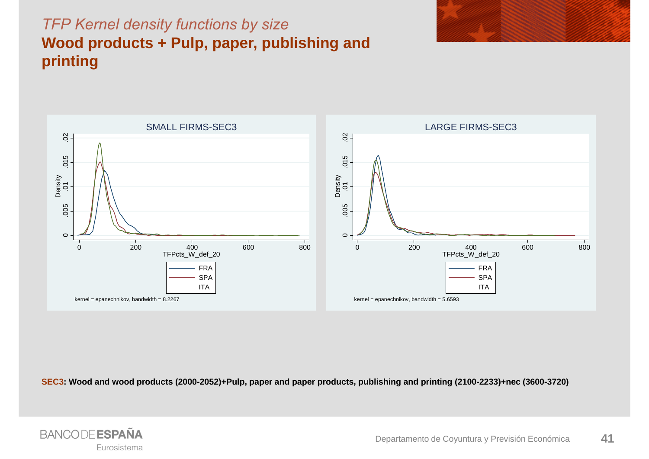![](_page_40_Picture_0.jpeg)

![](_page_40_Figure_1.jpeg)

![](_page_40_Figure_2.jpeg)

**SEC3: Wood and wood products (2000-2052)+Pulp, paper and paper products, publishing and printing (2100-2233)+nec (3600-3720)**

![](_page_40_Picture_4.jpeg)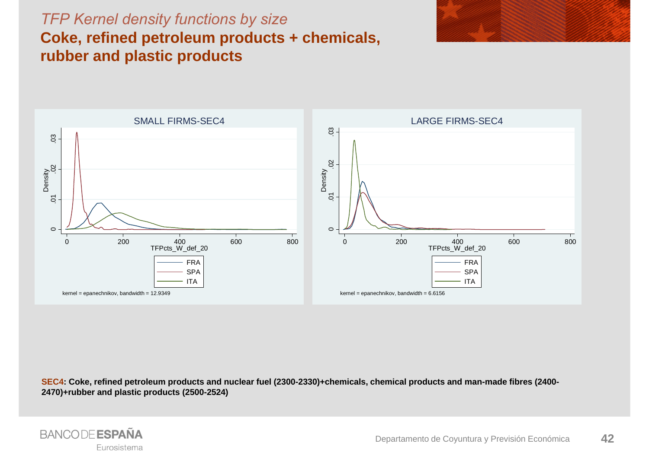#### *TFP Kernel density functions by size*  **Coke, refined petroleum products + chemicals, rubber and plastic products**

![](_page_41_Figure_1.jpeg)

![](_page_41_Figure_2.jpeg)

**SEC4: Coke, refined petroleum products and nuclear fuel (2300-2330)+chemicals, chemical products and man-made fibres (2400- 2470)+rubber and plastic products (2500-2524)**

![](_page_41_Picture_4.jpeg)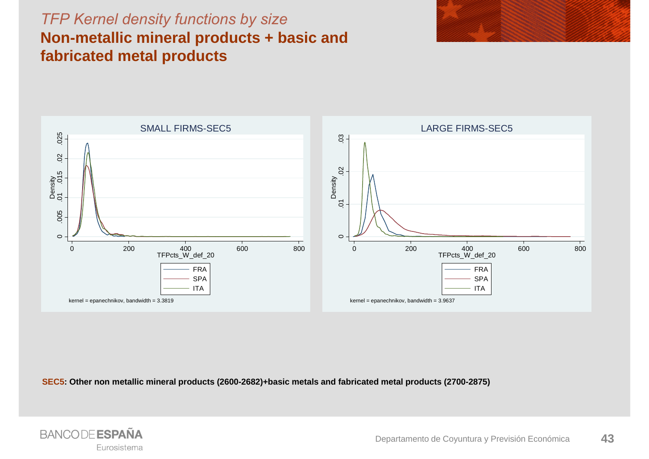### *TFP Kernel density functions by size*  **Non-metallic mineral products + basic and fabricated metal products**

![](_page_42_Figure_1.jpeg)

![](_page_42_Figure_2.jpeg)

**SEC5: Other non metallic mineral products (2600-2682)+basic metals and fabricated metal products (2700-2875)**

![](_page_42_Picture_4.jpeg)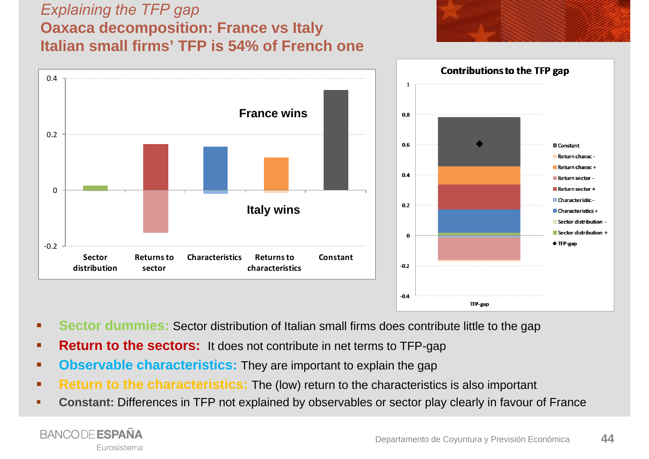#### *Explaining the TFP gap* **Oaxaca decomposition: France vs Italy Italian small firms' TFP is 54% of French one**

![](_page_43_Figure_1.jpeg)

![](_page_43_Figure_2.jpeg)

- п **Sector dummies:** Sector distribution of Italian small firms does contribute little to the gap
- $\blacksquare$ **Return to the sectors:** It does not contribute in net terms to TFP-gap
- $\blacksquare$ **Observable characteristics:** They are important to explain the gap
- ٠ **Return to the characteristics:** The (low) return to the characteristics is also important
- ٠ **Constant:** Differences in TFP not explained by observables or sector play clearly in favour of France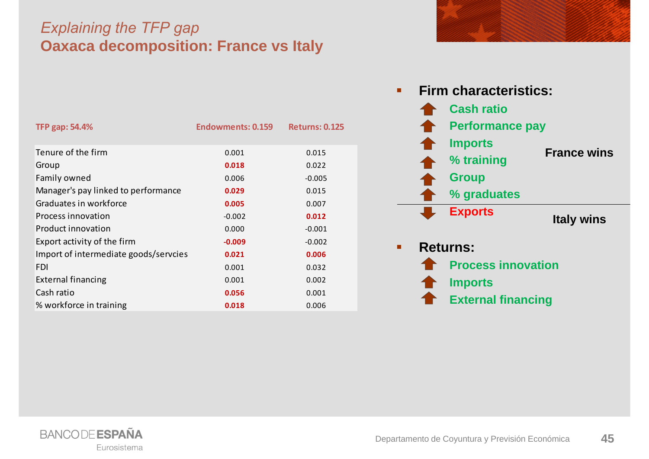#### *Explaining the TFP gap* **Oaxaca decomposition: France vs Italy**

| <b>TFP gap: 54.4%</b>                 | <b>Endowments: 0.159</b> | <b>Returns: 0.125</b> |
|---------------------------------------|--------------------------|-----------------------|
|                                       |                          |                       |
| Tenure of the firm                    | 0.001                    | 0.015                 |
| Group                                 | 0.018                    | 0.022                 |
| Family owned                          | 0.006                    | $-0.005$              |
| Manager's pay linked to performance   | 0.029                    | 0.015                 |
| Graduates in workforce                | 0.005                    | 0.007                 |
| Process innovation                    | $-0.002$                 | 0.012                 |
| Product innovation                    | 0.000                    | $-0.001$              |
| Export activity of the firm           | $-0.009$                 | $-0.002$              |
| Import of intermediate goods/servcies | 0.021                    | 0.006                 |
| FDI                                   | 0.001                    | 0.032                 |
| <b>External financing</b>             | 0.001                    | 0.002                 |
| Cash ratio                            | 0.056                    | 0.001                 |
| % workforce in training               | 0.018                    | 0.006                 |

![](_page_44_Figure_2.jpeg)

![](_page_44_Picture_3.jpeg)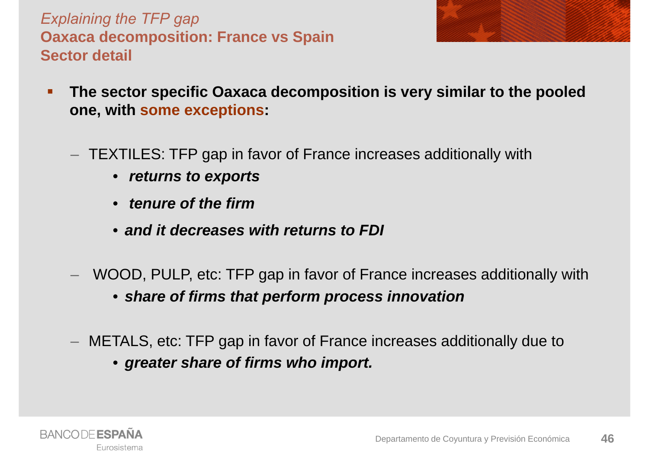*Explaining the TFP gap* **Oaxaca decomposition: France vs Spain Sector detail**

- 
- $\blacksquare$  **The sector specific Oaxaca decomposition is very similar to the pooled one, with some exceptions:**
	- TEXTILES: TFP gap in favor of France increases additionally with
		- *returns to exports*
		- *tenure of the firm*
		- *and it decreases with returns to FDI*
	- WOOD, PULP, etc: TFP gap in favor of France increases additionally with
		- *share of firms that perform process innovation*
	- METALS, etc: TFP gap in favor of France increases additionally due to
		- *greater share of firms who import.*

![](_page_45_Picture_11.jpeg)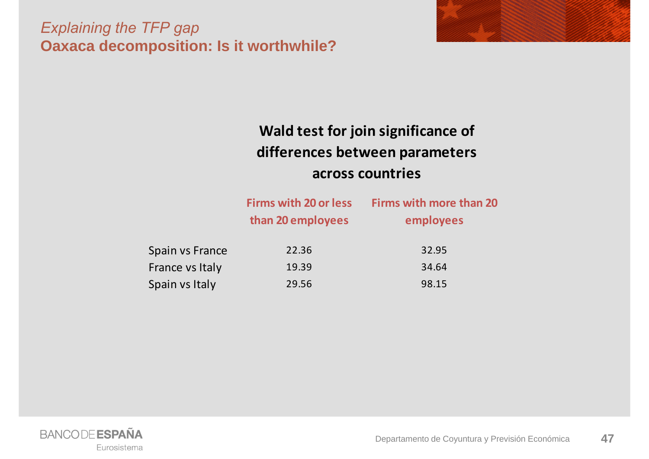#### *Explaining the TFP gap* **Oaxaca decomposition: Is it worthwhile?**

![](_page_46_Picture_1.jpeg)

### **Wald test for join significance of differences between parameters across countries**

|                 | <b>Firms with 20 or less</b><br>than 20 employees | <b>Firms with more than 20</b><br>employees |
|-----------------|---------------------------------------------------|---------------------------------------------|
| Spain vs France | 22.36                                             | 32.95                                       |
| France vs Italy | 19.39                                             | 34.64                                       |
| Spain vs Italy  | 29.56                                             | 98.15                                       |

![](_page_46_Picture_4.jpeg)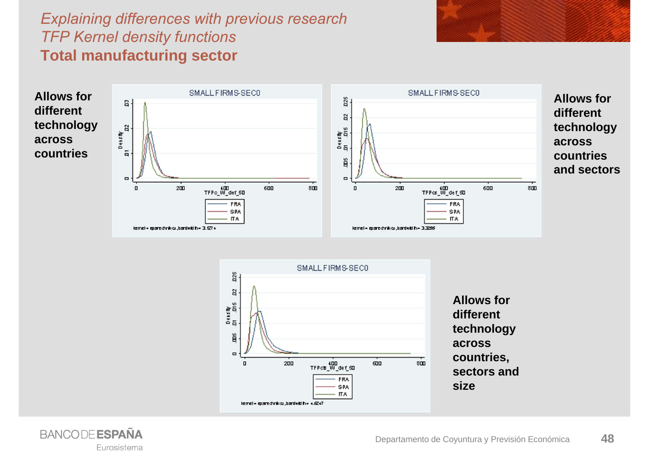### *Explaining differences with previous research TFP Kernel density functions* **Total manufacturing sector**

![](_page_47_Figure_1.jpeg)

![](_page_47_Picture_2.jpeg)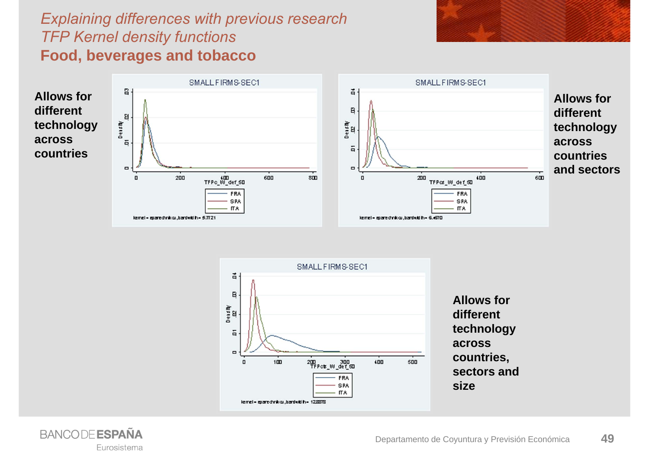#### *Explaining differences with previous research TFP Kernel density functions* **Food, beverages and tobacco**

![](_page_48_Figure_1.jpeg)

![](_page_48_Figure_2.jpeg)

![](_page_48_Picture_3.jpeg)